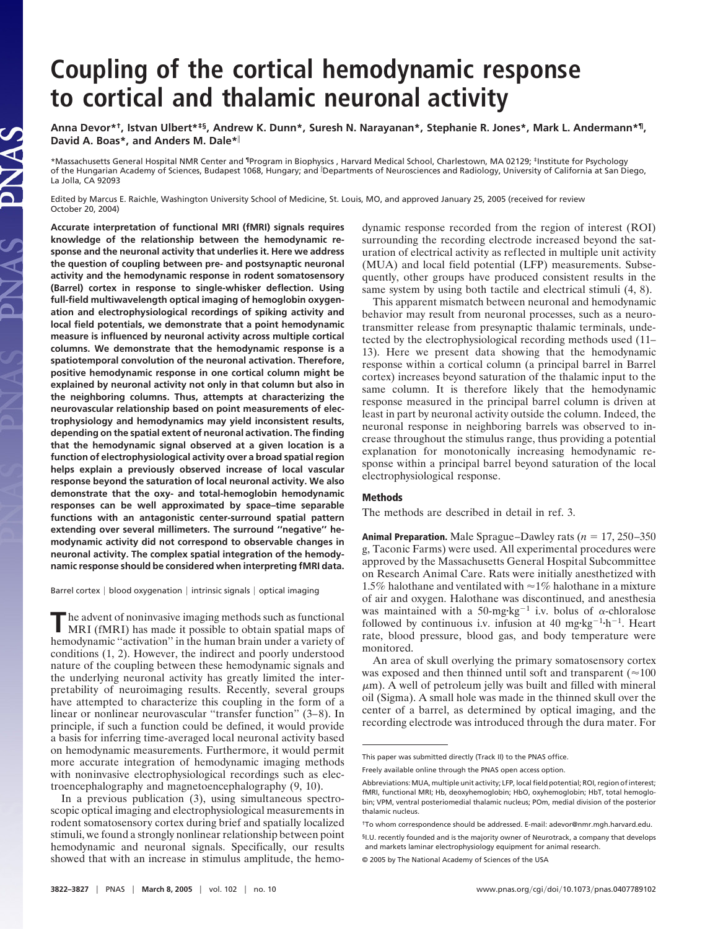# **Coupling of the cortical hemodynamic response to cortical and thalamic neuronal activity**

**Anna Devor\*†, Istvan Ulbert\*‡§, Andrew K. Dunn\*, Suresh N. Narayanan\*, Stephanie R. Jones\*, Mark L. Andermann\*¶, David A. Boas\*, and Anders M. Dale\***

\*Massachusetts General Hospital NMR Center and ¶Program in Biophysics , Harvard Medical School, Charlestown, MA 02129; ‡Institute for Psychology of the Hungarian Academy of Sciences, Budapest 1068, Hungary; and <sup>I</sup>Departments of Neurosciences and Radiology, University of California at San Diego, La Jolla, CA 92093

Edited by Marcus E. Raichle, Washington University School of Medicine, St. Louis, MO, and approved January 25, 2005 (received for review October 20, 2004)

**Accurate interpretation of functional MRI (fMRI) signals requires knowledge of the relationship between the hemodynamic response and the neuronal activity that underlies it. Here we address the question of coupling between pre- and postsynaptic neuronal activity and the hemodynamic response in rodent somatosensory (Barrel) cortex in response to single-whisker deflection. Using full-field multiwavelength optical imaging of hemoglobin oxygenation and electrophysiological recordings of spiking activity and local field potentials, we demonstrate that a point hemodynamic measure is influenced by neuronal activity across multiple cortical columns. We demonstrate that the hemodynamic response is a spatiotemporal convolution of the neuronal activation. Therefore, positive hemodynamic response in one cortical column might be explained by neuronal activity not only in that column but also in the neighboring columns. Thus, attempts at characterizing the neurovascular relationship based on point measurements of electrophysiology and hemodynamics may yield inconsistent results, depending on the spatial extent of neuronal activation. The finding that the hemodynamic signal observed at a given location is a function of electrophysiological activity over a broad spatial region helps explain a previously observed increase of local vascular response beyond the saturation of local neuronal activity. We also demonstrate that the oxy- and total-hemoglobin hemodynamic responses can be well approximated by space–time separable functions with an antagonistic center-surround spatial pattern extending over several millimeters. The surround ''negative'' hemodynamic activity did not correspond to observable changes in neuronal activity. The complex spatial integration of the hemodynamic response should be considered when interpreting fMRI data.**

JAS

Barrel cortex | blood oxygenation | intrinsic signals | optical imaging

**T**he advent of noninvasive imaging methods such as functional MRI (fMRI) has made it possible to obtain spatial maps of hemodynamic "activation" in the human brain under a variety of conditions (1, 2). However, the indirect and poorly understood nature of the coupling between these hemodynamic signals and the underlying neuronal activity has greatly limited the interpretability of neuroimaging results. Recently, several groups have attempted to characterize this coupling in the form of a linear or nonlinear neurovascular "transfer function" (3–8). In principle, if such a function could be defined, it would provide a basis for inferring time-averaged local neuronal activity based on hemodynamic measurements. Furthermore, it would permit more accurate integration of hemodynamic imaging methods with noninvasive electrophysiological recordings such as electroencephalography and magnetoencephalography (9, 10).

In a previous publication (3), using simultaneous spectroscopic optical imaging and electrophysiological measurements in rodent somatosensory cortex during brief and spatially localized stimuli, we found a strongly nonlinear relationship between point hemodynamic and neuronal signals. Specifically, our results showed that with an increase in stimulus amplitude, the hemodynamic response recorded from the region of interest (ROI) surrounding the recording electrode increased beyond the saturation of electrical activity as reflected in multiple unit activity (MUA) and local field potential (LFP) measurements. Subsequently, other groups have produced consistent results in the same system by using both tactile and electrical stimuli (4, 8).

This apparent mismatch between neuronal and hemodynamic behavior may result from neuronal processes, such as a neurotransmitter release from presynaptic thalamic terminals, undetected by the electrophysiological recording methods used (11– 13). Here we present data showing that the hemodynamic response within a cortical column (a principal barrel in Barrel cortex) increases beyond saturation of the thalamic input to the same column. It is therefore likely that the hemodynamic response measured in the principal barrel column is driven at least in part by neuronal activity outside the column. Indeed, the neuronal response in neighboring barrels was observed to increase throughout the stimulus range, thus providing a potential explanation for monotonically increasing hemodynamic response within a principal barrel beyond saturation of the local electrophysiological response.

#### **Methods**

The methods are described in detail in ref. 3.

**Animal Preparation.** Male Sprague–Dawley rats  $(n = 17, 250-350)$ g, Taconic Farms) were used. All experimental procedures were approved by the Massachusetts General Hospital Subcommittee on Research Animal Care. Rats were initially anesthetized with 1.5% halothane and ventilated with  $\approx$  1% halothane in a mixture of air and oxygen. Halothane was discontinued, and anesthesia was maintained with a 50-mg·kg<sup>-1</sup> i.v. bolus of  $\alpha$ -chloralose followed by continuous i.v. infusion at 40 mg·kg<sup>-1</sup>·h<sup>-1</sup>. Heart rate, blood pressure, blood gas, and body temperature were monitored.

An area of skull overlying the primary somatosensory cortex was exposed and then thinned until soft and transparent ( $\approx$ 100  $\mu$ m). A well of petroleum jelly was built and filled with mineral oil (Sigma). A small hole was made in the thinned skull over the center of a barrel, as determined by optical imaging, and the recording electrode was introduced through the dura mater. For

This paper was submitted directly (Track II) to the PNAS office.

Freely available online through the PNAS open access option.

Abbreviations: MUA, multiple unit activity; LFP, local field potential; ROI, region of interest; fMRI, functional MRI; Hb, deoxyhemoglobin; HbO, oxyhemoglobin; HbT, total hemoglobin; VPM, ventral posteriomedial thalamic nucleus; POm, medial division of the posterior thalamic nucleus.

<sup>†</sup>To whom correspondence should be addressed. E-mail: adevor@nmr.mgh.harvard.edu.

<sup>§</sup>I.U. recently founded and is the majority owner of Neurotrack, a company that develops and markets laminar electrophysiology equipment for animal research.

<sup>© 2005</sup> by The National Academy of Sciences of the USA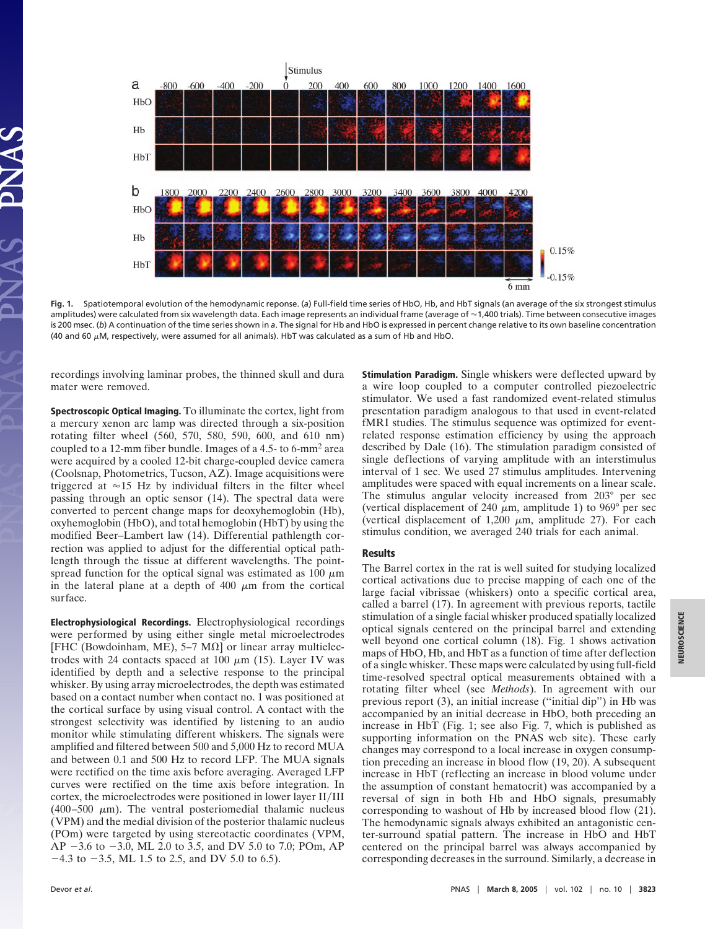

**Fig. 1.** Spatiotemporal evolution of the hemodynamic reponse. (*a*) Full-field time series of HbO, Hb, and HbT signals (an average of the six strongest stimulus amplitudes) were calculated from six wavelength data. Each image represents an individual frame (average of ≈1,400 trials). Time between consecutive images is 200 msec. (*b*) A continuation of the time series shown in *a*. The signal for Hb and HbO is expressed in percent change relative to its own baseline concentration (40 and 60  $\mu$ M, respectively, were assumed for all animals). HbT was calculated as a sum of Hb and HbO.

recordings involving laminar probes, the thinned skull and dura mater were removed.

**Spectroscopic Optical Imaging.** To illuminate the cortex, light from a mercury xenon arc lamp was directed through a six-position rotating filter wheel (560, 570, 580, 590, 600, and 610 nm) coupled to a 12-mm fiber bundle. Images of a 4.5- to 6-mm<sup>2</sup> area were acquired by a cooled 12-bit charge-coupled device camera (Coolsnap, Photometrics, Tucson, AZ). Image acquisitions were triggered at  $\approx$ 15 Hz by individual filters in the filter wheel passing through an optic sensor (14). The spectral data were converted to percent change maps for deoxyhemoglobin (Hb), oxyhemoglobin (HbO), and total hemoglobin (HbT) by using the modified Beer–Lambert law (14). Differential pathlength correction was applied to adjust for the differential optical pathlength through the tissue at different wavelengths. The pointspread function for the optical signal was estimated as  $100 \mu m$ in the lateral plane at a depth of  $400 \mu m$  from the cortical surface.

**Electrophysiological Recordings.** Electrophysiological recordings were performed by using either single metal microelectrodes [FHC (Bowdoinham, ME), 5–7 M $\Omega$ ] or linear array multielectrodes with 24 contacts spaced at 100  $\mu$ m (15). Layer IV was identified by depth and a selective response to the principal whisker. By using array microelectrodes, the depth was estimated based on a contact number when contact no. 1 was positioned at the cortical surface by using visual control. A contact with the strongest selectivity was identified by listening to an audio monitor while stimulating different whiskers. The signals were amplified and filtered between 500 and 5,000 Hz to record MUA and between 0.1 and 500 Hz to record LFP. The MUA signals were rectified on the time axis before averaging. Averaged LFP curves were rectified on the time axis before integration. In cortex, the microelectrodes were positioned in lower layer  $II/III$ (400–500  $\mu$ m). The ventral posteriomedial thalamic nucleus (VPM) and the medial division of the posterior thalamic nucleus (POm) were targeted by using stereotactic coordinates (VPM, AP  $-3.6$  to  $-3.0$ , ML 2.0 to 3.5, and DV 5.0 to 7.0; POm, AP  $-4.3$  to  $-3.5$ , ML 1.5 to 2.5, and DV 5.0 to 6.5).

**Stimulation Paradigm.** Single whiskers were deflected upward by a wire loop coupled to a computer controlled piezoelectric stimulator. We used a fast randomized event-related stimulus presentation paradigm analogous to that used in event-related fMRI studies. The stimulus sequence was optimized for eventrelated response estimation efficiency by using the approach described by Dale (16). The stimulation paradigm consisted of single deflections of varying amplitude with an interstimulus interval of 1 sec. We used 27 stimulus amplitudes. Intervening amplitudes were spaced with equal increments on a linear scale. The stimulus angular velocity increased from 203° per sec (vertical displacement of 240  $\mu$ m, amplitude 1) to 969° per sec (vertical displacement of 1,200  $\mu$ m, amplitude 27). For each stimulus condition, we averaged 240 trials for each animal.

#### **Results**

The Barrel cortex in the rat is well suited for studying localized cortical activations due to precise mapping of each one of the large facial vibrissae (whiskers) onto a specific cortical area, called a barrel (17). In agreement with previous reports, tactile stimulation of a single facial whisker produced spatially localized optical signals centered on the principal barrel and extending well beyond one cortical column (18). Fig. 1 shows activation maps of HbO, Hb, and HbT as a function of time after deflection of a single whisker. These maps were calculated by using full-field time-resolved spectral optical measurements obtained with a rotating filter wheel (see *Methods*). In agreement with our previous report (3), an initial increase (''initial dip'') in Hb was accompanied by an initial decrease in HbO, both preceding an increase in HbT (Fig. 1; see also Fig. 7, which is published as supporting information on the PNAS web site). These early changes may correspond to a local increase in oxygen consumption preceding an increase in blood flow (19, 20). A subsequent increase in HbT (reflecting an increase in blood volume under the assumption of constant hematocrit) was accompanied by a reversal of sign in both Hb and HbO signals, presumably corresponding to washout of Hb by increased blood flow (21). The hemodynamic signals always exhibited an antagonistic center-surround spatial pattern. The increase in HbO and HbT centered on the principal barrel was always accompanied by corresponding decreases in the surround. Similarly, a decrease in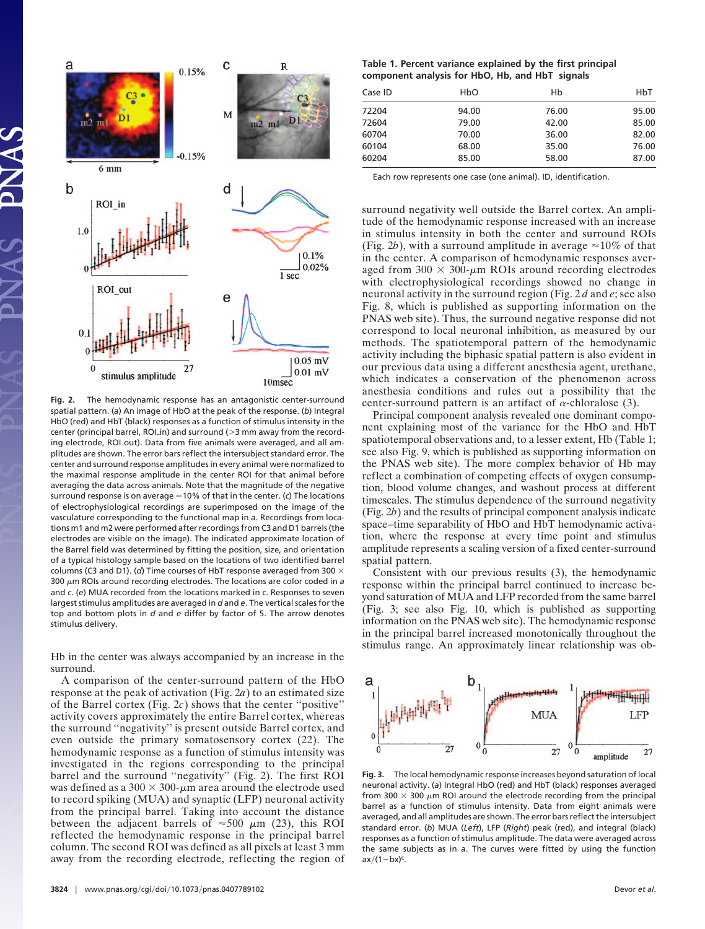

**Fig. 2.** The hemodynamic response has an antagonistic center-surround spatial pattern. (*a*) An image of HbO at the peak of the response. (*b*) Integral HbO (red) and HbT (black) responses as a function of stimulus intensity in the center (principal barrel, ROL in) and surround (>3 mm away from the recording electrode, ROLout). Data from five animals were averaged, and all amplitudes are shown. The error bars reflect the intersubject standard error. The center and surround response amplitudes in every animal were normalized to the maximal response amplitude in the center ROI for that animal before averaging the data across animals. Note that the magnitude of the negative surround response is on average -10% of that in the center. (*c*) The locations of electrophysiological recordings are superimposed on the image of the vasculature corresponding to the functional map in *a*. Recordings from locations m1 and m2 were performed after recordings from C3 and D1 barrels (the electrodes are visible on the image). The indicated approximate location of the Barrel field was determined by fitting the position, size, and orientation of a typical histology sample based on the locations of two identified barrel columns (C3 and D1). (*d*) Time courses of HbT response averaged from 300  $300 \mu$ m ROIs around recording electrodes. The locations are color coded in a and *c*. (*e*) MUA recorded from the locations marked in *c*. Responses to seven largest stimulus amplitudes are averaged in *d* and *e*. The vertical scales for the top and bottom plots in *d* and *e* differ by factor of 5. The arrow denotes stimulus delivery.

Hb in the center was always accompanied by an increase in the surround.

A comparison of the center-surround pattern of the HbO response at the peak of activation (Fig. 2*a*) to an estimated size of the Barrel cortex (Fig. 2*c*) shows that the center ''positive'' activity covers approximately the entire Barrel cortex, whereas the surround ''negativity'' is present outside Barrel cortex, and even outside the primary somatosensory cortex (22). The hemodynamic response as a function of stimulus intensity was investigated in the regions corresponding to the principal barrel and the surround ''negativity'' (Fig. 2). The first ROI was defined as a 300  $\times$  300- $\mu$ m area around the electrode used to record spiking (MUA) and synaptic (LFP) neuronal activity from the principal barrel. Taking into account the distance between the adjacent barrels of  $\approx 500 \mu m$  (23), this ROI reflected the hemodynamic response in the principal barrel column. The second ROI was defined as all pixels at least 3 mm away from the recording electrode, reflecting the region of

## **Table 1. Percent variance explained by the first principal component analysis for HbO, Hb, and HbT signals**

| Case ID | HbO   | Hb    | HbT   |
|---------|-------|-------|-------|
| 72204   | 94.00 | 76.00 | 95.00 |
| 72604   | 79.00 | 42.00 | 85.00 |
| 60704   | 70.00 | 36.00 | 82.00 |
| 60104   | 68.00 | 35.00 | 76.00 |
| 60204   | 85.00 | 58.00 | 87.00 |

Each row represents one case (one animal). ID, identification.

surround negativity well outside the Barrel cortex. An amplitude of the hemodynamic response increased with an increase in stimulus intensity in both the center and surround ROIs (Fig. 2b), with a surround amplitude in average  $\approx 10\%$  of that in the center. A comparison of hemodynamic responses averaged from  $300 \times 300$ - $\mu$ m ROIs around recording electrodes with electrophysiological recordings showed no change in neuronal activity in the surround region (Fig. 2 *d* and *e*; see also Fig. 8, which is published as supporting information on the PNAS web site). Thus, the surround negative response did not correspond to local neuronal inhibition, as measured by our methods. The spatiotemporal pattern of the hemodynamic activity including the biphasic spatial pattern is also evident in our previous data using a different anesthesia agent, urethane, which indicates a conservation of the phenomenon across anesthesia conditions and rules out a possibility that the center-surround pattern is an artifact of  $\alpha$ -chloralose (3).

Principal component analysis revealed one dominant component explaining most of the variance for the HbO and HbT spatiotemporal observations and, to a lesser extent, Hb (Table 1; see also Fig. 9, which is published as supporting information on the PNAS web site). The more complex behavior of Hb may reflect a combination of competing effects of oxygen consumption, blood volume changes, and washout process at different timescales. The stimulus dependence of the surround negativity (Fig. 2*b*) and the results of principal component analysis indicate space–time separability of HbO and HbT hemodynamic activation, where the response at every time point and stimulus amplitude represents a scaling version of a fixed center-surround spatial pattern.

Consistent with our previous results (3), the hemodynamic response within the principal barrel continued to increase beyond saturation of MUA and LFP recorded from the same barrel (Fig. 3; see also Fig. 10, which is published as supporting information on the PNAS web site). The hemodynamic response in the principal barrel increased monotonically throughout the stimulus range. An approximately linear relationship was ob-



**Fig. 3.** The local hemodynamic response increases beyond saturation of local neuronal activity. (*a*) Integral HbO (red) and HbT (black) responses averaged from 300  $\times$  300  $\mu$ m ROI around the electrode recording from the principal barrel as a function of stimulus intensity. Data from eight animals were averaged, and all amplitudes are shown. The error bars reflect the intersubject standard error. (*b*) MUA (*Left*), LFP (*Right*) peak (red), and integral (black) responses as a function of stimulus amplitude. The data were averaged across the same subjects as in *a*. The curves were fitted by using the function  $ax/(1-bx)^c$ .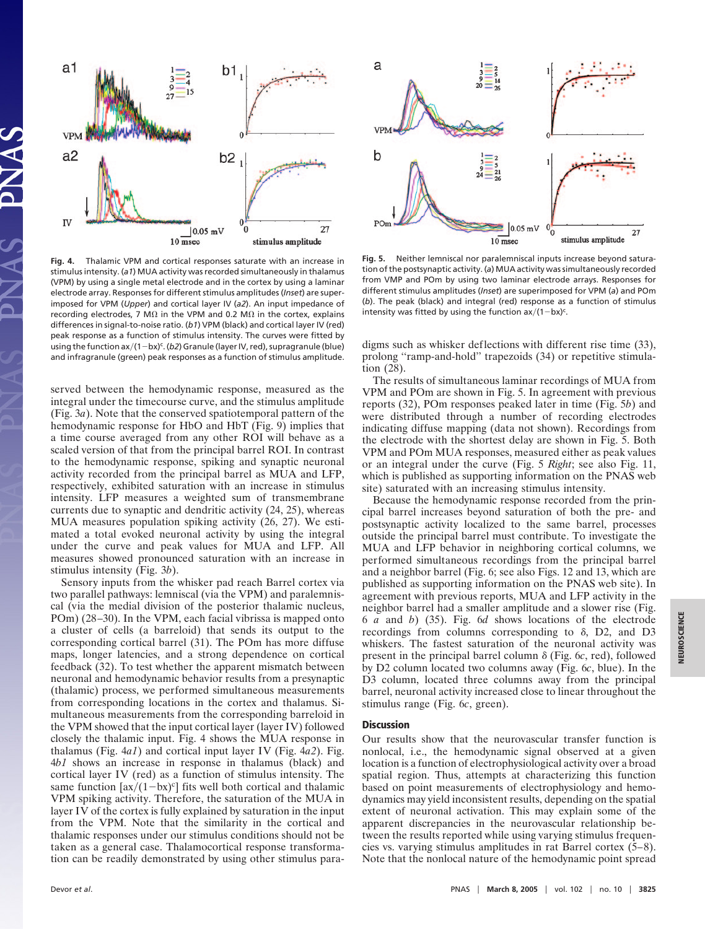

**Fig. 4.** Thalamic VPM and cortical responses saturate with an increase in stimulus intensity. (*a1*) MUA activity was recorded simultaneously in thalamus (VPM) by using a single metal electrode and in the cortex by using a laminar electrode array. Responses for different stimulus amplitudes (*Inset*) are superimposed for VPM (*Upper*) and cortical layer IV (*a2*). An input impedance of recording electrodes, 7 M $\Omega$  in the VPM and 0.2 M $\Omega$  in the cortex, explains differences in signal-to-noise ratio. (*b1*) VPM (black) and cortical layer IV (red) peak response as a function of stimulus intensity. The curves were fitted by using the function ax/(1-bx)<sup>c</sup>. (b2) Granule (layer IV, red), supragranule (blue) and infragranule (green) peak responses as a function of stimulus amplitude.

served between the hemodynamic response, measured as the integral under the timecourse curve, and the stimulus amplitude (Fig. 3*a*). Note that the conserved spatiotemporal pattern of the hemodynamic response for HbO and HbT (Fig. 9) implies that a time course averaged from any other ROI will behave as a scaled version of that from the principal barrel ROI. In contrast to the hemodynamic response, spiking and synaptic neuronal activity recorded from the principal barrel as MUA and LFP, respectively, exhibited saturation with an increase in stimulus intensity. LFP measures a weighted sum of transmembrane currents due to synaptic and dendritic activity (24, 25), whereas MUA measures population spiking activity (26, 27). We estimated a total evoked neuronal activity by using the integral under the curve and peak values for MUA and LFP. All measures showed pronounced saturation with an increase in stimulus intensity (Fig. 3*b*).

Sensory inputs from the whisker pad reach Barrel cortex via two parallel pathways: lemniscal (via the VPM) and paralemniscal (via the medial division of the posterior thalamic nucleus, POm) (28–30). In the VPM, each facial vibrissa is mapped onto a cluster of cells (a barreloid) that sends its output to the corresponding cortical barrel (31). The POm has more diffuse maps, longer latencies, and a strong dependence on cortical feedback (32). To test whether the apparent mismatch between neuronal and hemodynamic behavior results from a presynaptic (thalamic) process, we performed simultaneous measurements from corresponding locations in the cortex and thalamus. Simultaneous measurements from the corresponding barreloid in the VPM showed that the input cortical layer (layer IV) followed closely the thalamic input. Fig. 4 shows the MUA response in thalamus (Fig. 4*a1*) and cortical input layer IV (Fig. 4*a2*). Fig. 4*b1* shows an increase in response in thalamus (black) and cortical layer IV (red) as a function of stimulus intensity. The same function  $[ax/(1-bx)^c]$  fits well both cortical and thalamic VPM spiking activity. Therefore, the saturation of the MUA in layer IV of the cortex is fully explained by saturation in the input from the VPM. Note that the similarity in the cortical and thalamic responses under our stimulus conditions should not be taken as a general case. Thalamocortical response transformation can be readily demonstrated by using other stimulus para-



**Fig. 5.** Neither lemniscal nor paralemniscal inputs increase beyond saturation of the postsynaptic activity. (*a*) MUA activity was simultaneously recorded from VMP and POm by using two laminar electrode arrays. Responses for different stimulus amplitudes (*Inset*) are superimposed for VPM (*a*) and POm (*b*). The peak (black) and integral (red) response as a function of stimulus intensity was fitted by using the function  $ax/(1-bx)^c$ .

digms such as whisker deflections with different rise time (33), prolong "ramp-and-hold" trapezoids (34) or repetitive stimulation (28).

The results of simultaneous laminar recordings of MUA from VPM and POm are shown in Fig. 5. In agreement with previous reports (32), POm responses peaked later in time (Fig. 5*b*) and were distributed through a number of recording electrodes indicating diffuse mapping (data not shown). Recordings from the electrode with the shortest delay are shown in Fig. 5. Both VPM and POm MUA responses, measured either as peak values or an integral under the curve (Fig. 5 *Right*; see also Fig. 11, which is published as supporting information on the PNAS web site) saturated with an increasing stimulus intensity.

Because the hemodynamic response recorded from the principal barrel increases beyond saturation of both the pre- and postsynaptic activity localized to the same barrel, processes outside the principal barrel must contribute. To investigate the MUA and LFP behavior in neighboring cortical columns, we performed simultaneous recordings from the principal barrel and a neighbor barrel (Fig. 6; see also Figs. 12 and 13, which are published as supporting information on the PNAS web site). In agreement with previous reports, MUA and LFP activity in the neighbor barrel had a smaller amplitude and a slower rise (Fig. 6 *a* and *b*) (35). Fig. 6*d* shows locations of the electrode recordings from columns corresponding to  $\delta$ , D2, and D3 whiskers. The fastest saturation of the neuronal activity was present in the principal barrel column  $\delta$  (Fig. 6*c*, red), followed by D2 column located two columns away (Fig. 6*c*, blue). In the D3 column, located three columns away from the principal barrel, neuronal activity increased close to linear throughout the stimulus range (Fig. 6*c*, green).

### **Discussion**

Our results show that the neurovascular transfer function is nonlocal, i.e., the hemodynamic signal observed at a given location is a function of electrophysiological activity over a broad spatial region. Thus, attempts at characterizing this function based on point measurements of electrophysiology and hemodynamics may yield inconsistent results, depending on the spatial extent of neuronal activation. This may explain some of the apparent discrepancies in the neurovascular relationship between the results reported while using varying stimulus frequencies vs. varying stimulus amplitudes in rat Barrel cortex (5–8). Note that the nonlocal nature of the hemodynamic point spread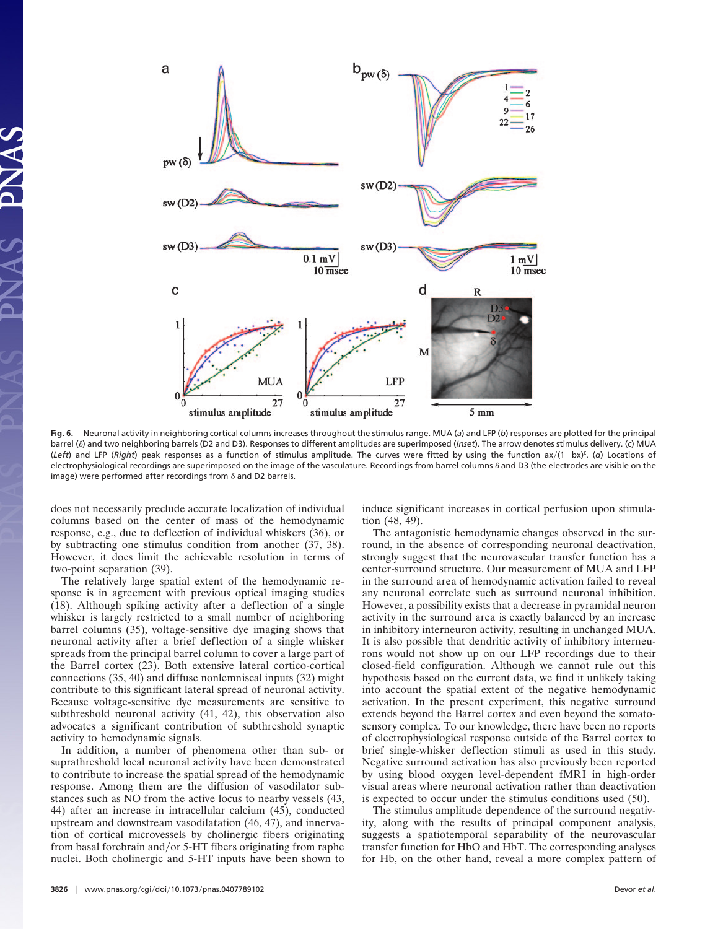

**Fig. 6.** Neuronal activity in neighboring cortical columns increases throughout the stimulus range. MUA (*a*) and LFP (*b*) responses are plotted for the principal barrel ( $\delta$ ) and two neighboring barrels (D2 and D3). Responses to different amplitudes are superimposed (*Inset*). The arrow denotes stimulus delivery. (*c*) MUA (Left) and LFP (Right) peak responses as a function of stimulus amplitude. The curves were fitted by using the function ax/(1-bx)<sup>c</sup>. (d) Locations of electrophysiological recordings are superimposed on the image of the vasculature. Recordings from barrel columns  $\delta$  and D3 (the electrodes are visible on the image) were performed after recordings from  $\delta$  and D2 barrels.

does not necessarily preclude accurate localization of individual columns based on the center of mass of the hemodynamic response, e.g., due to deflection of individual whiskers (36), or by subtracting one stimulus condition from another (37, 38). However, it does limit the achievable resolution in terms of two-point separation (39).

The relatively large spatial extent of the hemodynamic response is in agreement with previous optical imaging studies (18). Although spiking activity after a deflection of a single whisker is largely restricted to a small number of neighboring barrel columns (35), voltage-sensitive dye imaging shows that neuronal activity after a brief deflection of a single whisker spreads from the principal barrel column to cover a large part of the Barrel cortex (23). Both extensive lateral cortico-cortical connections (35, 40) and diffuse nonlemniscal inputs (32) might contribute to this significant lateral spread of neuronal activity. Because voltage-sensitive dye measurements are sensitive to subthreshold neuronal activity (41, 42), this observation also advocates a significant contribution of subthreshold synaptic activity to hemodynamic signals.

In addition, a number of phenomena other than sub- or suprathreshold local neuronal activity have been demonstrated to contribute to increase the spatial spread of the hemodynamic response. Among them are the diffusion of vasodilator substances such as NO from the active locus to nearby vessels (43, 44) after an increase in intracellular calcium (45), conducted upstream and downstream vasodilatation (46, 47), and innervation of cortical microvessels by cholinergic fibers originating from basal forebrain and/or  $5$ -HT fibers originating from raphe nuclei. Both cholinergic and 5-HT inputs have been shown to induce significant increases in cortical perfusion upon stimulation (48, 49).

The antagonistic hemodynamic changes observed in the surround, in the absence of corresponding neuronal deactivation, strongly suggest that the neurovascular transfer function has a center-surround structure. Our measurement of MUA and LFP in the surround area of hemodynamic activation failed to reveal any neuronal correlate such as surround neuronal inhibition. However, a possibility exists that a decrease in pyramidal neuron activity in the surround area is exactly balanced by an increase in inhibitory interneuron activity, resulting in unchanged MUA. It is also possible that dendritic activity of inhibitory interneurons would not show up on our LFP recordings due to their closed-field configuration. Although we cannot rule out this hypothesis based on the current data, we find it unlikely taking into account the spatial extent of the negative hemodynamic activation. In the present experiment, this negative surround extends beyond the Barrel cortex and even beyond the somatosensory complex. To our knowledge, there have been no reports of electrophysiological response outside of the Barrel cortex to brief single-whisker deflection stimuli as used in this study. Negative surround activation has also previously been reported by using blood oxygen level-dependent fMRI in high-order visual areas where neuronal activation rather than deactivation is expected to occur under the stimulus conditions used (50).

The stimulus amplitude dependence of the surround negativity, along with the results of principal component analysis, suggests a spatiotemporal separability of the neurovascular transfer function for HbO and HbT. The corresponding analyses for Hb, on the other hand, reveal a more complex pattern of